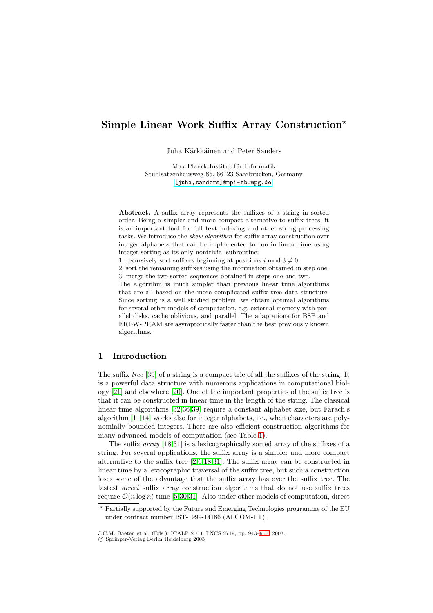# **Simple Linear Work Suffix Array Construction**

Juha Kärkkäinen and Peter Sanders

Max-Planck-Institut für Informatik Stuhlsatzenhausweg 85, 66123 Saarbrücken, Germany [\[juha,sanders\]@mpi-sb.mpg.de]([juha,sanders]@mpi-sb.mpg.de).

**Abstract.** A suffix array represents the suffixes of a string in sorted order. Being a simpler and more compact alternative to suffix trees, it is an important tool for full text indexing and other string processing tasks. We introduce the skew algorithm for suffix array construction over integer alphabets that can be implemented to run in linear time using integer sorting as its only nontrivial subroutine:

1. recursively sort suffixes beginning at positions  $i \mod 3 \neq 0$ .

2. sort the remaining suffixes using the information obtained in step one. 3. merge the two sorted sequences obtained in steps one and two.

The algorithm is much simpler than previous linear time algorithms that are all based on the more complicated suffix tree data structure. Since sorting is a well studied problem, we obtain optimal algorithms for several other models of computation, e.g. external memory with parallel disks, cache oblivious, and parallel. The adaptations for BSP and EREW-PRAM are asymptotically faster than the best previously known algorithms.

## **1 Introduction**

The suffix tree [\[39\]](#page-10-0) of a string is a compact trie of all the suffixes of the string. It is a powerful data structure with numerous applications in computational biology [\[21\]](#page-9-0) and elsewhere [\[20\]](#page-9-0). One of the important properties of the suffix tree is that it can be constructed in linear time in the length of the string. The classical linear time algorithms [\[32,36,39\]](#page-10-0) require a constant alphabet size, but Farach's algorithm [\[11,14\]](#page-9-0) works also for integer alphabets, i.e., when characters are polynomially bounded integers. There are also efficient construction algorithms for many advanced models of computation (see Table [1\)](#page-2-0).

The suffix array [\[18](#page-9-0)[,31\]](#page-10-0) is a lexicographically sorted array of the suffixes of a string. For several applications, the suffix array is a simpler and more compact alternative to the suffix tree [\[2,6](#page-8-0)[,18,](#page-9-0)[31\]](#page-10-0). The suffix array can be constructed in linear time by a lexicographic traversal of the suffix tree, but such a construction loses some of the advantage that the suffix array has over the suffix tree. The fastest direct suffix array construction algorithms that do not use suffix trees require  $\mathcal{O}(n \log n)$  time [\[5,](#page-8-0)[30,31\]](#page-10-0). Also under other models of computation, direct

Partially supported by the Future and Emerging Technologies programme of the EU under contract number IST-1999-14186(ALCOM-FT).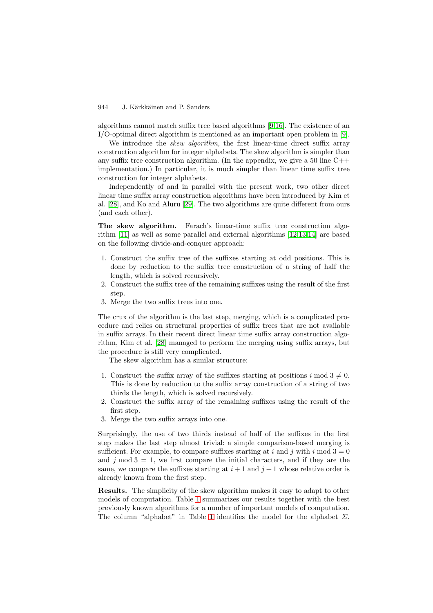algorithms cannot match suffix tree based algorithms [\[9,16\]](#page-9-0). The existence of an I/O-optimal direct algorithm is mentioned as an important open problem in [\[9\]](#page-9-0).

We introduce the *skew algorithm*, the first linear-time direct suffix array construction algorithm for integer alphabets. The skew algorithm is simpler than any suffix tree construction algorithm. (In the appendix, we give a 50 line  $C_{++}$ implementation.) In particular, it is much simpler than linear time suffix tree construction for integer alphabets.

Independently of and in parallel with the present work, two other direct linear time suffix array construction algorithms have been introduced by Kim et al. [\[28\]](#page-10-0), and Ko and Aluru [\[29\]](#page-10-0). The two algorithms are quite different from ours (and each other).

**The skew algorithm.** Farach's linear-time suffix tree construction algorithm [\[11\]](#page-9-0) as well as some parallel and external algorithms [\[12,13,14\]](#page-9-0) are based on the following divide-and-conquer approach:

- 1. Construct the suffix tree of the suffixes starting at odd positions. This is done by reduction to the suffix tree construction of a string of half the length, which is solved recursively.
- 2. Construct the suffix tree of the remaining suffixes using the result of the first step.
- 3. Merge the two suffix trees into one.

The crux of the algorithm is the last step, merging, which is a complicated procedure and relies on structural properties of suffix trees that are not available in suffix arrays. In their recent direct linear time suffix array construction algorithm, Kim et al. [\[28\]](#page-10-0) managed to perform the merging using suffix arrays, but the procedure is still very complicated.

The skew algorithm has a similar structure:

- 1. Construct the suffix array of the suffixes starting at positions  $i \mod 3 \neq 0$ . This is done by reduction to the suffix array construction of a string of two thirds the length, which is solved recursively.
- 2. Construct the suffix array of the remaining suffixes using the result of the first step.
- 3. Merge the two suffix arrays into one.

Surprisingly, the use of two thirds instead of half of the suffixes in the first step makes the last step almost trivial: a simple comparison-based merging is sufficient. For example, to compare suffixes starting at i and j with i mod  $3 = 0$ and  $j \mod 3 = 1$ , we first compare the initial characters, and if they are the same, we compare the suffixes starting at  $i+1$  and  $j+1$  whose relative order is already known from the first step.

**Results.** The simplicity of the skew algorithm makes it easy to adapt to other models of computation. Table [1](#page-2-0) summarizes our results together with the best previously known algorithms for a number of important models of computation. The column "alphabet" in Table [1](#page-2-0) identifies the model for the alphabet  $\Sigma$ .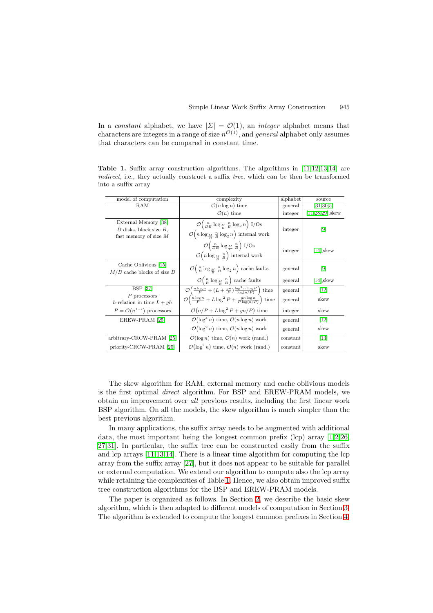<span id="page-2-0"></span>In a constant alphabet, we have  $|\Sigma| = \mathcal{O}(1)$ , an *integer* alphabet means that characters are integers in a range of size  $n^{\mathcal{O}(1)}$ , and *general* alphabet only assumes that characters can be compared in constant time.

**Table 1.** Suffix array construction algorithms. The algorithms in [\[11,12,13,14\]](#page-9-0) are indirect, i.e., they actually construct a suffix tree, which can be then be transformed into a suffix array

| model of computation                                                           | complexity                                                                                                                                                       | alphabet | source                |
|--------------------------------------------------------------------------------|------------------------------------------------------------------------------------------------------------------------------------------------------------------|----------|-----------------------|
| RAM                                                                            | $\mathcal{O}(n \log n)$ time                                                                                                                                     | general  | [31, 30, 5]           |
|                                                                                | $\mathcal{O}(n)$ time                                                                                                                                            | integer  | $[11, 28, 29]$ , skew |
| External Memory [38]<br>$D$ disks, block size $B$ ,<br>fast memory of size $M$ | $\mathcal{O}\left(\frac{n}{DB}\log_{\frac{M}{B}}\frac{n}{B}\log_2 n\right)1/\text{Os}$<br>$\mathcal{O}(n \log_{\frac{M}{2}} \frac{n}{B} \log_2 n)$ internal work | integer  | $\lceil 9 \rceil$     |
|                                                                                | $\mathcal{O}\left(\frac{n}{DB}\log_{\frac{M}{B}}\frac{n}{B}\right)I/Os$<br>$\mathcal{O}(n \log_{\frac{M}{B}} \frac{n}{B})$ internal work                         | integer  | $[14]$ , skew         |
| Cache Oblivious [15]<br>$M/B$ cache blocks of size $B$                         | $\mathcal{O}\left(\frac{n}{B}\log_{\frac{M}{B}}\frac{n}{B}\log_2 n\right)$ cache faults                                                                          | general  | $\lceil 9 \rceil$     |
|                                                                                | $\mathcal{O}\left(\frac{n}{B}\log_{\frac{M}{B}}\frac{n}{B}\right)$ cache faults                                                                                  | general  | $[14]$ , skew         |
| <b>BSP</b> [37]                                                                | $\overline{\mathcal{O}\left(\frac{n\log n}{P} + (L + \frac{gn}{P})\frac{\log^3 n \log P}{\log(n/P)}\right)}$ time                                                | general  | [12]                  |
| $P$ processors<br>h-relation in time $L + gh$                                  | $\mathcal{O}\left(\frac{n\log n}{P} + L\log^2 P + \frac{gn\log n}{P\log(n/P)}\right)$ time                                                                       | general  | skew                  |
| $P = \mathcal{O}(n^{1-\epsilon})$ processors                                   | $\mathcal{O}(n/P + L \log^2 P + gn/P)$ time                                                                                                                      | integer  | skew                  |
| EREW-PRAM [25]                                                                 | $\mathcal{O}(\log^4 n)$ time, $\mathcal{O}(n \log n)$ work                                                                                                       | general  | $[12]$                |
|                                                                                | $\mathcal{O}(\log^2 n)$ time, $\mathcal{O}(n \log n)$ work                                                                                                       | general  | skew                  |
| arbitrary-CRCW-PRAM [25]                                                       | $\mathcal{O}(\log n)$ time, $\mathcal{O}(n)$ work (rand.)                                                                                                        | constant | $[13]$                |
| priority-CRCW-PRAM [25]                                                        | $\mathcal{O}(\log^2 n)$ time, $\mathcal{O}(n)$ work (rand.)                                                                                                      | constant | skew                  |

The skew algorithm for RAM, external memory and cache oblivious models is the first optimal direct algorithm. For BSP and EREW-PRAM models, we obtain an improvement over all previous results, including the first linear work BSP algorithm. On all the models, the skew algorithm is much simpler than the best previous algorithm.

In many applications, the suffix array needs to be augmented with additional data, the most important being the longest common prefix (lcp) array  $(1,2,26,$  $(1,2,26,$ [27](#page-9-0)[,31\]](#page-10-0). In particular, the suffix tree can be constructed easily from the suffix and lcp arrays [\[11,13,14\]](#page-9-0). There is a linear time algorithm for computing the lcp array from the suffix array [\[27\]](#page-9-0), but it does not appear to be suitable for parallel or external computation. We extend our algorithm to compute also the lcp array while retaining the complexities of Table 1. Hence, we also obtain improved suffix tree construction algorithms for the BSP and EREW-PRAM models.

The paper is organized as follows. In Section [2,](#page-3-0) we describe the basic skew algorithm, which is then adapted to different models of computation in Section [3.](#page-4-0) The algorithm is extended to compute the longest common prefixes in Section [4.](#page-6-0)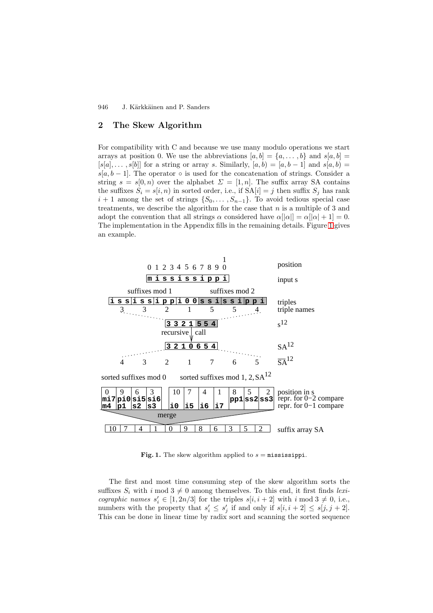## <span id="page-3-0"></span>**2 The Skew Algorithm**

For compatibility with C and because we use many modulo operations we start arrays at position 0. We use the abbreviations  $[a, b] = \{a, \ldots, b\}$  and  $s[a, b] =$  $[s[a], \ldots, s[b]]$  for a string or array s. Similarly,  $[a, b) = [a, b - 1]$  and  $s[a, b) =$  $s[a, b-1]$ . The operator ∘ is used for the concatenation of strings. Consider a string  $s = s[0, n)$  over the alphabet  $\Sigma = [1, n]$ . The suffix array SA contains the suffixes  $S_i = s[i, n)$  in sorted order, i.e., if  $SA[i] = j$  then suffix  $S_j$  has rank  $i + 1$  among the set of strings  $\{S_0, \ldots, S_{n-1}\}\$ . To avoid tedious special case treatments, we describe the algorithm for the case that  $n$  is a multiple of 3 and adopt the convention that all strings  $\alpha$  considered have  $\alpha[|\alpha|] = \alpha[|\alpha| + 1] = 0$ . The implementation in the Appendix fills in the remaining details. Figure 1 gives an example.



**Fig. 1.** The skew algorithm applied to  $s =$  mississippi.

The first and most time consuming step of the skew algorithm sorts the suffixes  $S_i$  with i mod  $3 \neq 0$  among themselves. To this end, it first finds lexicographic names  $s'_i \in [1, 2n/3]$  for the triples  $s[i, i + 2]$  with  $i \mod 3 \neq 0$ , i.e., numbers with the property that  $s'_i \leq s'_j$  if and only if  $s[i, i + 2] \leq s[j, j + 2]$ . This can be done in linear time by radix sort and scanning the sorted sequence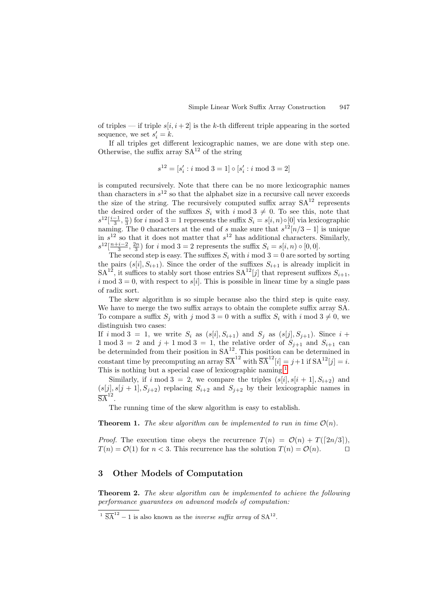<span id="page-4-0"></span>of triples — if triple  $s[i, i+2]$  is the k-th different triple appearing in the sorted sequence, we set  $s_i' = k$ .

If all triples get different lexicographic names, we are done with step one. Otherwise, the suffix array  $SA^{12}$  of the string

$$
s^{12} = [s'_i : i \bmod 3 = 1] \circ [s'_i : i \bmod 3 = 2]
$$

is computed recursively. Note that there can be no more lexicographic names than characters in  $s^{12}$  so that the alphabet size in a recursive call never exceeds the size of the string. The recursively computed suffix array  $SA^{12}$  represents the desired order of the suffixes  $S_i$  with  $i \mod 3 \neq 0$ . To see this, note that  $s^{12}[\frac{i-1}{3}, \frac{n}{3})$  for i mod 3 = 1 represents the suffix  $S_i = s[i, n) \circ [0]$  via lexicographic naming. The 0 characters at the end of s make sure that  $s^{12}[n/3 - 1]$  is unique in  $s^{12}$  so that it does not matter that  $s^{12}$  has additional characters. Similarly,  $s^{12}[\frac{n+i-2}{3}, \frac{2n}{3})$  for i mod 3 = 2 represents the suffix  $S_i = s[i, n) \circ [0, 0]$ .

The second step is easy. The suffixes  $S_i$  with i mod  $3 = 0$  are sorted by sorting the pairs  $(s[i], S_{i+1})$ . Since the order of the suffixes  $S_{i+1}$  is already implicit in  $SA^{12}$ , it suffices to stably sort those entries  $SA^{12}[j]$  that represent suffixes  $S_{i+1}$ , i mod  $3 = 0$ , with respect to s[i]. This is possible in linear time by a single pass of radix sort.

The skew algorithm is so simple because also the third step is quite easy. We have to merge the two suffix arrays to obtain the complete suffix array SA. To compare a suffix  $S_j$  with j mod  $3 = 0$  with a suffix  $S_i$  with i mod  $3 \neq 0$ , we distinguish two cases:

If i mod 3 = 1, we write  $S_i$  as  $(s[i], S_{i+1})$  and  $S_j$  as  $(s[j], S_{j+1})$ . Since  $i +$ 1 mod 3 = 2 and  $j + 1$  mod 3 = 1, the relative order of  $S_{j+1}$  and  $S_{i+1}$  can be determinded from their position in  $SA^{12}$ . This position can be determined in constant time by precomputing an array  $\overline{SA}^{12}$  with  $\overline{SA}^{12}[i] = j+1$  if  $SA^{12}[j] = i$ . This is nothing but a special case of lexicographic naming.<sup>1</sup>

Similarly, if i mod  $3 = 2$ , we compare the triples  $(s[i], s[i+1], S_{i+2})$  and  $(s[j], s[j+1], S_{j+2})$  replacing  $S_{i+2}$  and  $S_{j+2}$  by their lexicographic names in  $\overline{\text{SA}}^{12}$ 

The running time of the skew algorithm is easy to establish.

**Theorem 1.** The skew algorithm can be implemented to run in time  $\mathcal{O}(n)$ .

*Proof.* The execution time obeys the recurrence  $T(n) = \mathcal{O}(n) + T([2n/3]),$  $T(n) = \mathcal{O}(1)$  for  $n < 3$ . This recurrence has the solution  $T(n) = \mathcal{O}(n)$ .

### **3 Other Models of Computation**

**Theorem 2.** The skew algorithm can be implemented to achieve the following performance guarantees on advanced models of computation:

 $1 \overline{SA}^{12} - 1$  is also known as the *inverse suffix array* of  $SA^{12}$ .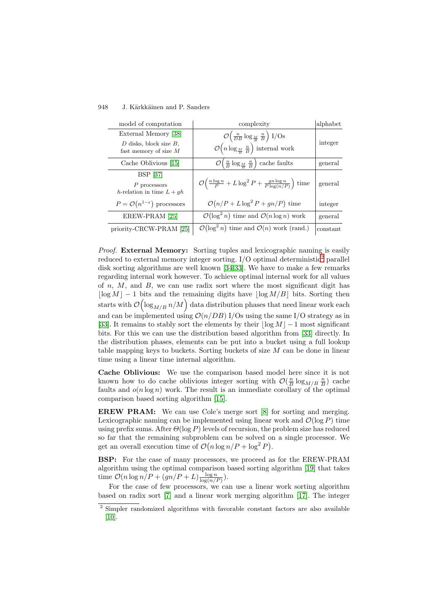| model of computation                                                           | complexity                                                                                                                                        | alphabet |
|--------------------------------------------------------------------------------|---------------------------------------------------------------------------------------------------------------------------------------------------|----------|
| External Memory [38]<br>$D$ disks, block size $B$ ,<br>fast memory of size $M$ | $\mathcal{O}\left(\frac{n}{DB}\log_{\frac{M}{B}}\frac{n}{B}\right)I/Os$<br>$\mathcal{O}\left(n\log_{\frac{M}{B}}\frac{n}{B}\right)$ internal work | integer  |
| Cache Oblivious [15]                                                           | $\mathcal{O}\left(\frac{n}{B}\log_{\frac{M}{B}}\frac{n}{B}\right)$ cache faults                                                                   | general  |
| <b>BSP</b> [37]<br>$P$ processors<br>h-relation in time $L + gh$               | $\mathcal{O}\left(\frac{n\log n}{P} + L\log^2 P + \frac{gn\log n}{P\log(n/P)}\right)$ time                                                        | general  |
| $P = \mathcal{O}(n^{1-\epsilon})$ processors                                   | $\mathcal{O}(n/P + L \log^2 P + gn/P)$ time                                                                                                       | integer  |
| EREW-PRAM [25]                                                                 | $\mathcal{O}(\log^2 n)$ time and $\mathcal{O}(n \log n)$ work                                                                                     | general  |
| priority-CRCW-PRAM [25]                                                        | $\mathcal{O}(\log^2 n)$ time and $\mathcal{O}(n)$ work (rand.)                                                                                    | constant |

Proof. **External Memory:** Sorting tuples and lexicographic naming is easily reduced to external memory integer sorting.  $I/O$  optimal deterministic<sup>2</sup> parallel disk sorting algorithms are well known [\[34,33\]](#page-10-0). We have to make a few remarks regarding internal work however. To achieve optimal internal work for all values of  $n, M$ , and  $B$ , we can use radix sort where the most significant digit has  $\lfloor \log M \rfloor - 1$  bits and the remaining digits have  $\lfloor \log M/B \rfloor$  bits. Sorting then starts with  $\mathcal{O}\left(\log_{M/B} n/M\right)$  data distribution phases that need linear work each and can be implemented using  $\mathcal{O}(n/DB)$  I/Os using the same I/O strategy as in [\[33\]](#page-10-0). It remains to stably sort the elements by their  $|\log M| - 1$  most significant bits. For this we can use the distribution based algorithm from [\[33\]](#page-10-0) directly. In the distribution phases, elements can be put into a bucket using a full lookup table mapping keys to buckets. Sorting buckets of size M can be done in linear time using a linear time internal algorithm.

**Cache Oblivious:** We use the comparison based model here since it is not known how to do cache oblivious integer sorting with  $\mathcal{O}(\frac{n}{B}\log_{M/B} \frac{n}{B})$  cache faults and  $o(n \log n)$  work. The result is an immediate corollary of the optimal comparison based sorting algorithm [\[15\]](#page-9-0).

**EREW PRAM:** We can use Cole's merge sort [\[8\]](#page-9-0) for sorting and merging. Lexicographic naming can be implemented using linear work and  $\mathcal{O}(\log P)$  time using prefix sums. After  $\Theta(\log P)$  levels of recursion, the problem size has reduced so far that the remaining subproblem can be solved on a single processor. We get an overall execution time of  $\mathcal{O}(n \log n / P + \log^2 P)$ .

**BSP:** For the case of many processors, we proceed as for the EREW-PRAM algorithm using the optimal comparison based sorting algorithm [\[19\]](#page-9-0) that takes time  $\mathcal{O}(n \log n/P + (gn/P + L) \frac{\log n}{\log(n/P)}).$ 

For the case of few processors, we can use a linear work sorting algorithm based on radix sort [\[7\]](#page-9-0) and a linear work merging algorithm [\[17\]](#page-9-0). The integer

<sup>2</sup> Simpler randomized algorithms with favorable constant factors are also available  $[10]$ .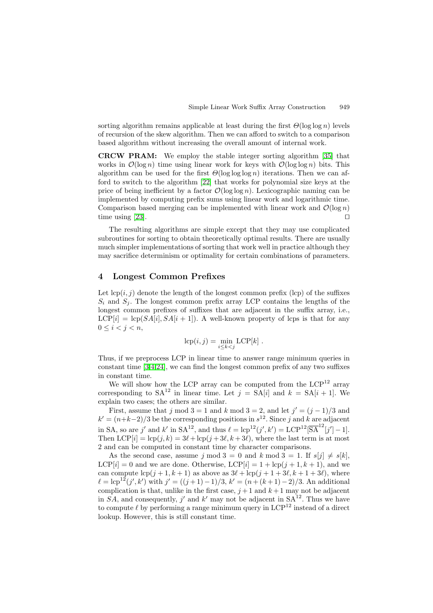<span id="page-6-0"></span>sorting algorithm remains applicable at least during the first  $\Theta(\log \log n)$  levels of recursion of the skew algorithm. Then we can afford to switch to a comparison based algorithm without increasing the overall amount of internal work.

**CRCW PRAM:** We employ the stable integer sorting algorithm [\[35\]](#page-10-0) that works in  $\mathcal{O}(\log n)$  time using linear work for keys with  $\mathcal{O}(\log \log n)$  bits. This algorithm can be used for the first  $\Theta(\log \log \log n)$  iterations. Then we can afford to switch to the algorithm [\[22\]](#page-9-0) that works for polynomial size keys at the price of being inefficient by a factor  $\mathcal{O}(\log \log n)$ . Lexicographic naming can be implemented by computing prefix sums using linear work and logarithmic time. Comparison based merging can be implemented with linear work and  $\mathcal{O}(\log n)$ time using  $[23]$ .

The resulting algorithms are simple except that they may use complicated subroutines for sorting to obtain theoretically optimal results. There are usually much simpler implementations of sorting that work well in practice although they may sacrifice determinism or optimality for certain combinations of parameters.

### **4 Longest Common Prefixes**

Let  $lcp(i, j)$  denote the length of the longest common prefix (lcp) of the suffixes  $S_i$  and  $S_j$ . The longest common prefix array LCP contains the lengths of the longest common prefixes of suffixes that are adjacent in the suffix array, i.e.,  $LCP[i] = \text{lcp}(SA[i], SA[i+1])$ . A well-known property of lcps is that for any  $0 \leq i < j < n$ ,

$$
lcp(i, j) = \min_{i \le k < j} LCP[k].
$$

Thus, if we preprocess LCP in linear time to answer range minimum queries in constant time [\[3,4](#page-8-0)[,24\]](#page-9-0), we can find the longest common prefix of any two suffixes in constant time.

We will show how the LCP array can be computed from the  $LCP^{12}$  array corresponding to  $SA^{12}$  in linear time. Let  $j = SA[i]$  and  $k = SA[i + 1]$ . We explain two cases; the others are similar.

First, assume that j mod  $3 = 1$  and k mod  $3 = 2$ , and let  $j' = (j - 1)/3$  and  $k' = (n+k-2)/3$  be the corresponding positions in  $s^{12}$ . Since j and k are adjacent in SA, so are j' and k' in  $SA^{12}$ , and thus  $\ell = \text{lcp}^{12}(j', k') = \text{LCP}^{12}[\overline{SA}^{12}[j'] - 1].$ Then  $LCP[i] = \text{lcp}(j, k) = 3\ell + \text{lcp}(j + 3\ell, k + 3\ell)$ , where the last term is at most 2 and can be computed in constant time by character comparisons.

As the second case, assume j mod  $3 = 0$  and k mod  $3 = 1$ . If  $s[j] \neq s[k]$ ,  $LCP[i] = 0$  and we are done. Otherwise,  $LCP[i] = 1 + \text{lcp}(j + 1, k + 1)$ , and we can compute  $\text{lcp}(j+1, k+1)$  as above as  $3\ell + \text{lcp}(j+1+3\ell, k+1+3\ell)$ , where  $\ell = \text{lcp}^{12}(j', k')$  with  $j' = ((j + 1) - 1)/3$ ,  $k' = (n + (k + 1) - 2)/3$ . An additional complication is that, unlike in the first case,  $j+1$  and  $k+1$  may not be adjacent in SA, and consequently, j' and k' may not be adjacent in  $SA^{12}$ . Thus we have to compute  $\ell$  by performing a range minimum query in  $LCP^{12}$  instead of a direct lookup. However, this is still constant time.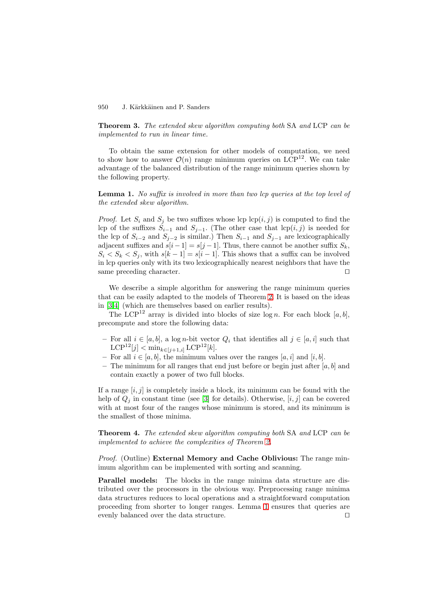**Theorem 3.** The extended skew algorithm computing both SA and LCP can be implemented to run in linear time.

To obtain the same extension for other models of computation, we need to show how to answer  $\mathcal{O}(n)$  range minimum queries on LCP<sup>12</sup>. We can take advantage of the balanced distribution of the range minimum queries shown by the following property.

**Lemma 1.** No suffix is involved in more than two lcp queries at the top level of the extended skew algorithm.

*Proof.* Let  $S_i$  and  $S_j$  be two suffixes whose lcp  $\text{lcp}(i, j)$  is computed to find the lcp of the suffixes  $S_{i-1}$  and  $S_{j-1}$ . (The other case that lcp(i, j) is needed for the lcp of  $S_{i-2}$  and  $S_{j-2}$  is similar.) Then  $S_{i-1}$  and  $S_{j-1}$  are lexicographically adjacent suffixes and  $s[i-1] = s[j-1]$ . Thus, there cannot be another suffix  $S_k$ ,  $S_i < S_k < S_j$ , with  $s[k-1] = s[i-1]$ . This shows that a suffix can be involved in lcp queries only with its two lexicographically nearest neighbors that have the same preceding character.

We describe a simple algorithm for answering the range minimum queries that can be easily adapted to the models of Theorem [2.](#page-4-0) It is based on the ideas in [\[3,4\]](#page-8-0) (which are themselves based on earlier results).

The LCP<sup>12</sup> array is divided into blocks of size  $log n$ . For each block [a, b], precompute and store the following data:

- **−** For all  $i \in [a, b]$ , a log *n*-bit vector  $Q_i$  that identifies all  $j \in [a, i]$  such that  $LCP^{12}[j] < \min_{k \in [j+1,i]} LCP^{12}[k].$
- **−** For all  $i \in [a, b]$ , the minimum values over the ranges  $[a, i]$  and  $[i, b]$ .
- The minimum for all ranges that end just before or begin just after  $[a, b]$  and contain exactly a power of two full blocks.

If a range  $[i, j]$  is completely inside a block, its minimum can be found with the help of  $Q_i$  in constant time (see [\[3\]](#page-8-0) for details). Otherwise, [i, j] can be covered with at most four of the ranges whose minimum is stored, and its minimum is the smallest of those minima.

**Theorem 4.** The extended skew algorithm computing both SA and LCP can be implemented to achieve the complexities of Theorem [2.](#page-4-0)

Proof. (Outline) **External Memory and Cache Oblivious:** The range minimum algorithm can be implemented with sorting and scanning.

**Parallel models:** The blocks in the range minima data structure are distributed over the processors in the obvious way. Preprocessing range minima data structures reduces to local operations and a straightforward computation proceeding from shorter to longer ranges. Lemma 1 ensures that queries are evenly balanced over the data structure.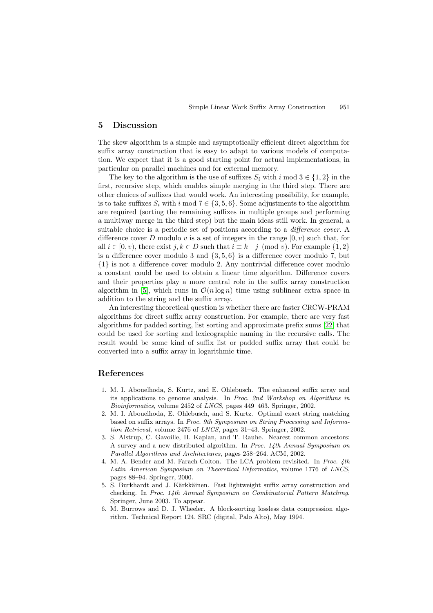#### <span id="page-8-0"></span>**5 Discussion**

The skew algorithm is a simple and asymptotically efficient direct algorithm for suffix array construction that is easy to adapt to various models of computation. We expect that it is a good starting point for actual implementations, in particular on parallel machines and for external memory.

The key to the algorithm is the use of suffixes  $S_i$  with  $i \mod 3 \in \{1,2\}$  in the first, recursive step, which enables simple merging in the third step. There are other choices of suffixes that would work. An interesting possibility, for example, is to take suffixes  $S_i$  with i mod  $7 \in \{3, 5, 6\}$ . Some adjustments to the algorithm are required (sorting the remaining suffixes in multiple groups and performing a multiway merge in the third step) but the main ideas still work. In general, a suitable choice is a periodic set of positions according to a *difference cover*. A difference cover D modulo v is a set of integers in the range  $[0, v)$  such that, for all  $i \in [0, v)$ , there exist  $j, k \in D$  such that  $i \equiv k - j \pmod{v}$ . For example  $\{1, 2\}$ is a difference cover modulo 3 and  $\{3, 5, 6\}$  is a difference cover modulo 7, but {1} is not a difference cover modulo 2. Any nontrivial difference cover modulo a constant could be used to obtain a linear time algorithm. Difference covers and their properties play a more central role in the suffix array construction algorithm in [5], which runs in  $\mathcal{O}(n \log n)$  time using sublinear extra space in addition to the string and the suffix array.

An interesting theoretical question is whether there are faster CRCW-PRAM algorithms for direct suffix array construction. For example, there are very fast algorithms for padded sorting, list sorting and approximate prefix sums [\[22\]](#page-9-0) that could be used for sorting and lexicographic naming in the recursive calls. The result would be some kind of suffix list or padded suffix array that could be converted into a suffix array in logarithmic time.

### **References**

- 1. M. I. Abouelhoda, S. Kurtz, and E. Ohlebusch. The enhanced suffix array and its applications to genome analysis. In Proc. 2nd Workshop on Algorithms in Bioinformatics, volume 2452 of LNCS, pages 449–463. Springer, 2002.
- 2. M. I. Abouelhoda, E. Ohlebusch, and S. Kurtz. Optimal exact string matching based on suffix arrays. In Proc. 9th Symposium on String Processing and Information Retrieval, volume 2476 of LNCS, pages 31–43. Springer, 2002.
- 3. S. Alstrup, C. Gavoille, H. Kaplan, and T. Rauhe. Nearest common ancestors: A survey and a new distributed algorithm. In Proc. 14th Annual Symposium on Parallel Algorithms and Architectures, pages 258–264. ACM, 2002.
- 4. M. A. Bender and M. Farach-Colton. The LCA problem revisited. In Proc. 4th Latin American Symposium on Theoretical INformatics, volume 1776 of LNCS, pages 88–94. Springer, 2000.
- 5. S. Burkhardt and J. Kärkkäinen. Fast lightweight suffix array construction and checking. In Proc. 14th Annual Symposium on Combinatorial Pattern Matching. Springer, June 2003. To appear.
- 6. M. Burrows and D. J. Wheeler. A block-sorting lossless data compression algorithm. Technical Report 124, SRC (digital, Palo Alto), May 1994.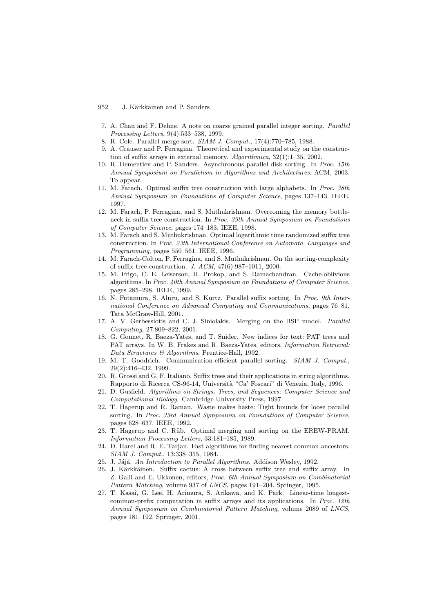- <span id="page-9-0"></span>7. A. Chan and F. Dehne. A note on coarse grained parallel integer sorting. Parallel Processing Letters, 9(4):533–538, 1999.
- 8. R. Cole. Parallel merge sort. SIAM J. Comput., 17(4):770–785, 1988.
- 9. A. Crauser and P. Ferragina. Theoretical and experimental study on the construction of suffix arrays in external memory. Algorithmica, 32(1):1–35, 2002.
- 10. R. Dementiev and P. Sanders. Asynchronous parallel disk sorting. In Proc. 15th Annual Symposium on Parallelism in Algorithms and Architectures. ACM, 2003. To appear.
- 11. M. Farach. Optimal suffix tree construction with large alphabets. In Proc. 38th Annual Symposium on Foundations of Computer Science, pages 137–143. IEEE, 1997.
- 12. M. Farach, P. Ferragina, and S. Muthukrishnan. Overcoming the memory bottleneck in suffix tree construction. In Proc. 39th Annual Symposium on Foundations of Computer Science, pages 174–183. IEEE, 1998.
- 13. M. Farach and S. Muthukrishnan. Optimal logarithmic time randomized suffix tree construction. In Proc. 23th International Conference on Automata, Languages and Programming, pages 550–561. IEEE, 1996.
- 14. M. Farach-Colton, P. Ferragina, and S. Muthukrishnan. On the sorting-complexity of suffix tree construction. J. ACM, 47(6):987–1011, 2000.
- 15. M. Frigo, C. E. Leiserson, H. Prokop, and S. Ramachandran. Cache-oblivious algorithms. In Proc. 40th Annual Symposium on Foundations of Computer Science, pages 285–298. IEEE, 1999.
- 16. N. Futamura, S. Aluru, and S. Kurtz. Parallel suffix sorting. In Proc. 9th International Conference on Advanced Computing and Communications, pages 76–81. Tata McGraw-Hill, 2001.
- 17. A. V. Gerbessiotis and C. J. Siniolakis. Merging on the BSP model. Parallel Computing, 27:809–822, 2001.
- 18. G. Gonnet, R. Baeza-Yates, and T. Snider. New indices for text: PAT trees and PAT arrays. In W. B. Frakes and R. Baeza-Yates, editors, Information Retrieval: Data Structures & Algorithms. Prentice-Hall, 1992.
- 19. M. T. Goodrich. Communication-efficient parallel sorting. SIAM J. Comput., 29(2):416–432, 1999.
- 20. R. Grossi and G. F. Italiano. Suffix trees and their applications in string algorithms. Rapporto di Ricerca CS-96-14, Università "Ca' Foscari" di Venezia, Italy, 1996.
- 21. D. Gusfield. Algorithms on Strings, Trees, and Sequences: Computer Science and Computational Biology. Cambridge University Press, 1997.
- 22. T. Hagerup and R. Raman. Waste makes haste: Tight bounds for loose parallel sorting. In Proc. 33rd Annual Symposium on Foundations of Computer Science, pages 628–637. IEEE, 1992.
- 23. T. Hagerup and C. Rüb. Optimal merging and sorting on the EREW-PRAM. Information Processing Letters, 33:181–185, 1989.
- 24. D. Harel and R. E. Tarjan. Fast algorithms for finding nearest common ancestors. SIAM J. Comput., 13:338–355, 1984.
- 25. J. Jájá. An Introduction to Parallel Algorithms. Addison Wesley, 1992.
- 26. J. Kärkkäinen. Suffix cactus: A cross between suffix tree and suffix array. In Z. Galil and E. Ukkonen, editors, Proc. 6th Annual Symposium on Combinatorial Pattern Matching, volume 937 of LNCS, pages 191–204. Springer, 1995.
- 27. T. Kasai, G. Lee, H. Arimura, S. Arikawa, and K. Park. Linear-time longestcommon-prefix computation in suffix arrays and its applications. In Proc. 12th Annual Symposium on Combinatorial Pattern Matching, volume 2089 of LNCS, pages 181–192. Springer, 2001.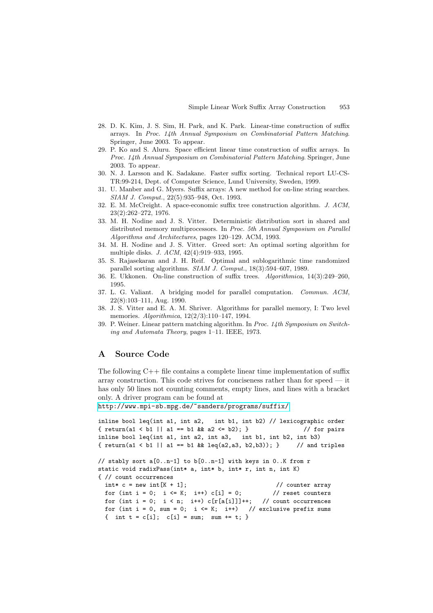- <span id="page-10-0"></span>28. D. K. Kim, J. S. Sim, H. Park, and K. Park. Linear-time construction of suffix arrays. In Proc. 14th Annual Symposium on Combinatorial Pattern Matching. Springer, June 2003. To appear.
- 29. P. Ko and S. Aluru. Space efficient linear time construction of suffix arrays. In Proc. 14th Annual Symposium on Combinatorial Pattern Matching. Springer, June 2003. To appear.
- 30. N. J. Larsson and K. Sadakane. Faster suffix sorting. Technical report LU-CS-TR:99-214, Dept. of Computer Science, Lund University, Sweden, 1999.
- 31. U. Manber and G. Myers. Suffix arrays: A new method for on-line string searches. SIAM J. Comput., 22(5):935–948, Oct. 1993.
- 32. E. M. McCreight. A space-economic suffix tree construction algorithm. J. ACM, 23(2):262–272, 1976.
- 33. M. H. Nodine and J. S. Vitter. Deterministic distribution sort in shared and distributed memory multiprocessors. In Proc. 5th Annual Symposium on Parallel Algorithms and Architectures, pages 120–129. ACM, 1993.
- 34. M. H. Nodine and J. S. Vitter. Greed sort: An optimal sorting algorithm for multiple disks. J. ACM, 42(4):919–933, 1995.
- 35. S. Rajasekaran and J. H. Reif. Optimal and sublogarithmic time randomized parallel sorting algorithms. SIAM J. Comput., 18(3):594–607, 1989.
- 36. E. Ukkonen. On-line construction of suffix trees. Algorithmica, 14(3):249–260, 1995.
- 37. L. G. Valiant. A bridging model for parallel computation. Commun. ACM, 22(8):103–111, Aug. 1990.
- 38. J. S. Vitter and E. A. M. Shriver. Algorithms for parallel memory, I: Two level memories. Algorithmica, 12(2/3):110–147, 1994.
- 39. P. Weiner. Linear pattern matching algorithm. In Proc. 14th Symposium on Switching and Automata Theory, pages 1–11. IEEE, 1973.

# **A Source Code**

The following C++ file contains a complete linear time implementation of suffix array construction. This code strives for conciseness rather than for speed — it has only 50 lines not counting comments, empty lines, and lines with a bracket only. A driver program can be found at

```
http://www.mpi-sb.mpg.de/˜sanders/programs/suffix/.
```

```
inline bool leq(int a1, int a2, int b1, int b2) // lexicographic order
{ return(a1 < b1 || a1 == b1 && a2 <= b2 ; } // for pairs
inline bool leq(int a1, int a2, int a3, int b1, int b2, int b3)
\{ return(a1 < b1 || a1 == b1 && leq(a2,a3, b2,b3)); } // and triples
// stably sort a[0..n-1] to b[0..n-1] with keys in 0..K from r
static void radixPass(int* a, int* b, int* r, int n, int K)
{// count occurrences
 \intint* c = new int[K + 1]; // counter array
 for (int i = 0; i \le K; i^{++}) c[i] = 0; // reset counters
```

```
for (int i = 0; i < n; i++) c[r[a[i]]]++; // count occurrences
for (int i = 0, sum = 0; i \le K; i++) // exclusive prefix sums
{ int t = c[i]; c[i] = sum; sum += t; }
```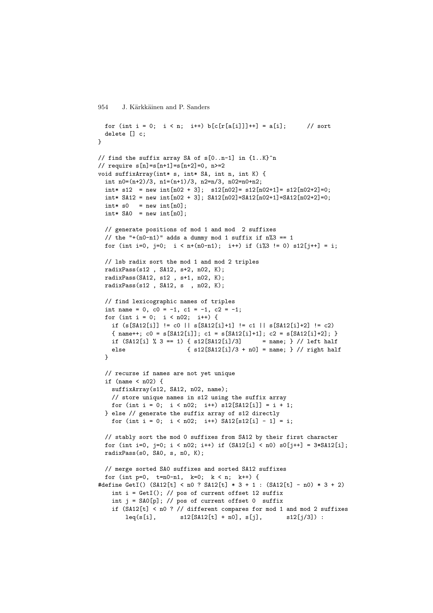```
for (int i = 0; i < n; i++) b[c[r[a[i]]]+] = a[i]; // sort
 delete [] c;
}
// find the suffix array SA of s[0..n-1] in {1..K}ˆn
// require s[n]=s[n+1]=s[n+2]=0, n>=2void suffixArray(int* s, int* SA, int n, int K) {
  int n0=(n+2)/3, n1=(n+1)/3, n2=n/3, n02=n0+n2;
  int* s12 = new int[n02 + 3]; s12[n02]= s12[n02+1]= s12[n02+2]=0;
  int* SA12 = new int[n02 + 3]; SA12[n02]=SA12[n02+1]=SA12[n02+2]=0;
  \text{int} * s0 = \text{new int}[n0];int* SAO = new int[n0];
 // generate positions of mod 1 and mod 2 suffixes
 // the "+(n0-n1)" adds a dummy mod 1 suffix if n\%3 == 1for (int i=0, j=0; i < n+(n0-n1); i++) if (i%3 != 0) s12[j++] = i;
 // lsb radix sort the mod 1 and mod 2 triples
 radixPass(s12 , SA12, s+2, n02, K);
 radixPass(SA12, s12 , s+1, n02, K);
 radixPass(s12 , SA12, s , n02, K);
 // find lexicographic names of triples
  int name = 0, c0 = -1, c1 = -1, c2 = -1;
  for (int i = 0; i < n02; i++) {
   if (s[SA12[i]] != c0 || s[SA12[i]+1] != c1 || s[SA12[i]+2] != c2)
   {\{ name++; c0 = s[SA12[i]]; c1 = s[SA12[i]+1]; c2 = s[SA12[i]+2]; } \}if (SA12[i] % 3 == 1) { s12[SA12[i]/3] = name; } // left halfelse {s12[SA12[i]/3 + n0] = name; } // right half
  }
 // recurse if names are not yet unique
  if (name \leq n02) {
   suffixArray(s12, SA12, n02, name);
   // store unique names in s12 using the suffix array
   for (int i = 0; i < n02; i++) s12[SA12[i]] = i + 1;
  } else // generate the suffix array of s12 directly
   for (int i = 0; i < n02; i++) SA12[s12[i] - 1] = i;
 // stably sort the mod 0 suffixes from SA12 by their first character
 for (int i=0, j=0; i < n02; i++) if (SA12[i] < n0) s0[j++] = 3*SA12[i];
 radixPass(s0, SA0, s, n0, K);
 // merge sorted SA0 suffixes and sorted SA12 suffixes
  for (int p=0, t=n0-n1, k=0; k < n; k++) {
#define GetI() (SA12[t] < n0 ? SA12[t] * 3 + 1 : (SA12[t] - n0) * 3 + 2)int i = GetI(); // pos of current offset 12 suffix
    int j = SAO[p]; // pos of current offset 0 suffix
    if (SA12[t] < n0 ? // different compares for mod 1 and mod 2 suffixes
        leq(s[i], s12[SA12[t] + n0], s[j], s12[j/3]):
```